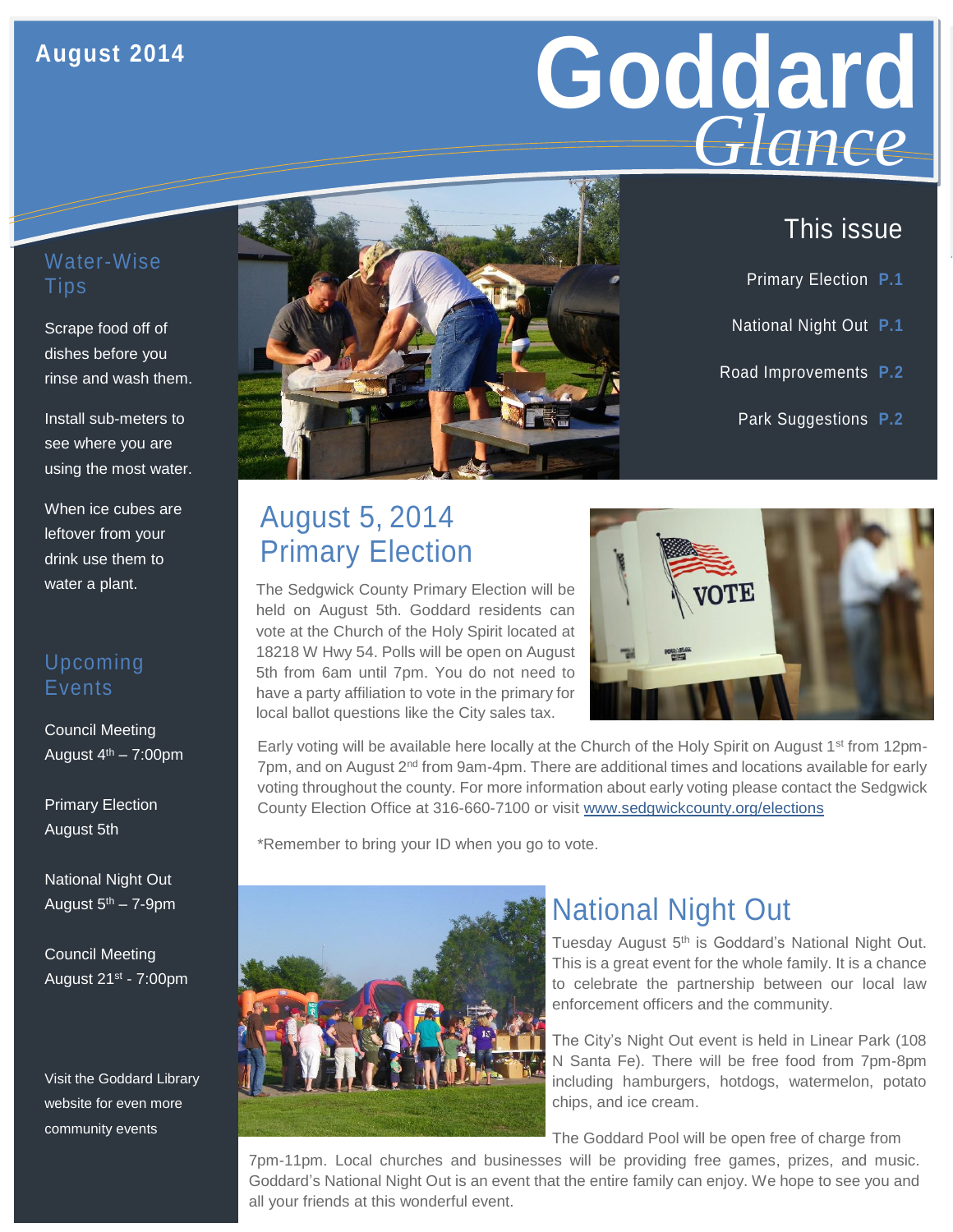#### **August 2014**

# Goddard **GIGNCE** *Glance*

#### Water-Wise Tips

Scrape food off of dishes before you rinse and wash them.

Install sub-meters to see where you are using the most water.

When ice cubes are leftover from your drink use them to water a plant.

#### Upcoming **Events**

Council Meeting August  $4<sup>th</sup> - 7:00$ pm

Primary Election August 5th

National Night Out August  $5<sup>th</sup> - 7-9$ pm

Council Meeting August 21st - 7:00pm

Visit the Goddard Library website for even more community events



## August 5, 2014 Primary Election

The Sedgwick County Primary Election will be held on August 5th. Goddard residents can vote at the Church of the Holy Spirit located at 18218 W Hwy 54. Polls will be open on August 5th from 6am until 7pm. You do not need to have a party affiliation to vote in the primary for local ballot questions like the City sales tax.



Early voting will be available here locally at the Church of the Holy Spirit on August 1<sup>st</sup> from 12pm- $7$ pm, and on August  $2<sup>nd</sup>$  from 9am-4pm. There are additional times and locations available for early voting throughout the county. For more information about early voting please contact the Sedgwick County Election Office at 316-660-7100 or visit [www.sedgwickcounty.org/elections](http://www.sedgwickcounty.org/elections)

\*Remember to bring your ID when you go to vote.



## National Night Out

Tuesday August 5<sup>th</sup> is Goddard's National Night Out. This is a great event for the whole family. It is a chance to celebrate the partnership between our local law enforcement officers and the community.

The City's Night Out event is held in Linear Park (108 N Santa Fe). There will be free food from 7pm-8pm including hamburgers, hotdogs, watermelon, potato chips, and ice cream.

The Goddard Pool will be open free of charge from

7pm-11pm. Local churches and businesses will be providing free games, prizes, and music. Goddard's National Night Out is an event that the entire family can enjoy. We hope to see you and all your friends at this wonderful event.

## This issue

- Primary Election **P.1**
- National Night Out **P.1**
- Road Improvements **P.2**
	- Park Suggestions **P.2**